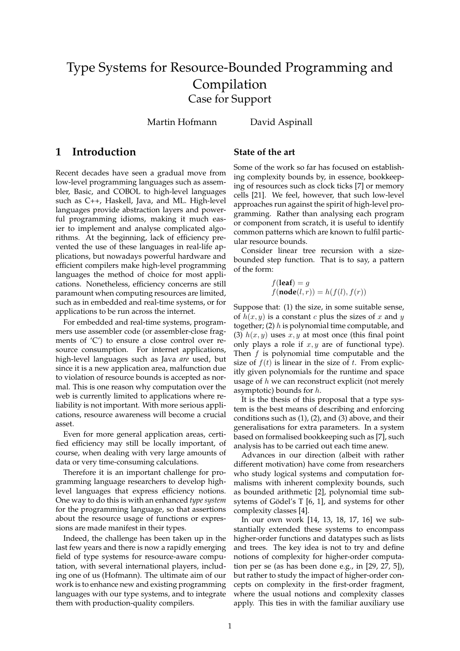# Type Systems for Resource-Bounded Programming and Compilation Case for Support

Martin Hofmann David Aspinall

### **1 Introduction**

Recent decades have seen a gradual move from low-level programming languages such as assembler, Basic, and COBOL to high-level languages such as C++, Haskell, Java, and ML. High-level languages provide abstraction layers and powerful programming idioms, making it much easier to implement and analyse complicated algorithms. At the beginning, lack of efficiency prevented the use of these languages in real-life applications, but nowadays powerful hardware and efficient compilers make high-level programming languages the method of choice for most applications. Nonetheless, efficiency concerns are still paramount when computing resources are limited, such as in embedded and real-time systems, or for applications to be run across the internet.

For embedded and real-time systems, programmers use assembler code (or assembler-close fragments of 'C') to ensure a close control over resource consumption. For internet applications, high-level languages such as Java *are* used, but since it is a new application area, malfunction due to violation of resource bounds is accepted as normal. This is one reason why computation over the web is currently limited to applications where reliability is not important. With more serious applications, resource awareness will become a crucial asset.

Even for more general application areas, certified efficiency may still be locally important, of course, when dealing with very large amounts of data or very time-consuming calculations.

Therefore it is an important challenge for programming language researchers to develop highlevel languages that express efficiency notions. One way to do this is with an enhanced *type system* for the programming language, so that assertions about the resource usage of functions or expressions are made manifest in their types.

Indeed, the challenge has been taken up in the last few years and there is now a rapidly emerging field of type systems for resource-aware computation, with several international players, including one of us (Hofmann). The ultimate aim of our work is to enhance new and existing programming languages with our type systems, and to integrate them with production-quality compilers.

#### **State of the art**

Some of the work so far has focused on establishing complexity bounds by, in essence, bookkeeping of resources such as clock ticks [7] or memory cells [21]. We feel, however, that such low-level approaches run against the spirit of high-level programming. Rather than analysing each program or component from scratch, it is useful to identify common patterns which are known to fulfil particular resource bounds.

Consider linear tree recursion with a sizebounded step function. That is to say, a pattern of the form:

> $f(\text{leaf}) = g$  $f(\textbf{node}(l, r)) = h(f(l), f(r))$

Suppose that: (1) the size, in some suitable sense, of  $h(x, y)$  is a constant c plus the sizes of x and y together; (2) h is polynomial time computable, and (3)  $h(x, y)$  uses x, y at most once (this final point only plays a role if  $x, y$  are of functional type). Then f is polynomial time computable and the size of  $f(t)$  is linear in the size of t. From explicitly given polynomials for the runtime and space usage of  $h$  we can reconstruct explicit (not merely asymptotic) bounds for h.

It is the thesis of this proposal that a type system is the best means of describing and enforcing conditions such as (1), (2), and (3) above, and their generalisations for extra parameters. In a system based on formalised bookkeeping such as [7], such analysis has to be carried out each time anew.

Advances in our direction (albeit with rather different motivation) have come from researchers who study logical systems and computation formalisms with inherent complexity bounds, such as bounded arithmetic [2], polynomial time subsytems of Gödel's T  $[6, 1]$ , and systems for other complexity classes [4].

In our own work [14, 13, 18, 17, 16] we substantially extended these systems to encompass higher-order functions and datatypes such as lists and trees. The key idea is not to try and define notions of complexity for higher-order computation per se (as has been done e.g., in [29, 27, 5]), but rather to study the impact of higher-order concepts on complexity in the first-order fragment, where the usual notions and complexity classes apply. This ties in with the familiar auxiliary use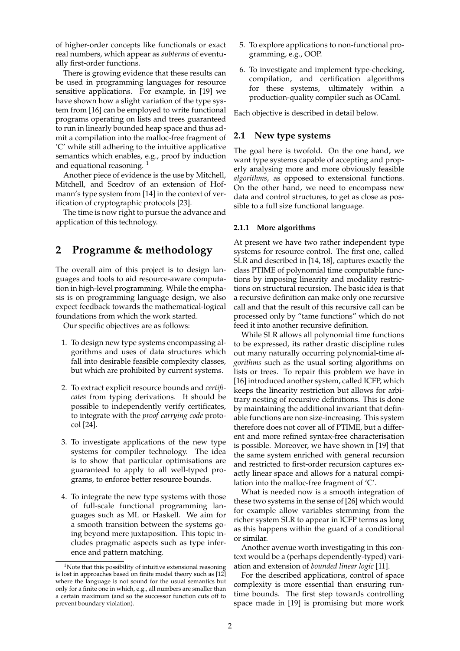of higher-order concepts like functionals or exact real numbers, which appear as *subterms* of eventually first-order functions.

There is growing evidence that these results can be used in programming languages for resource sensitive applications. For example, in [19] we have shown how a slight variation of the type system from [16] can be employed to write functional programs operating on lists and trees guaranteed to run in linearly bounded heap space and thus admit a compilation into the malloc-free fragment of 'C' while still adhering to the intuitive applicative semantics which enables, e.g., proof by induction and equational reasoning.  $1$ 

Another piece of evidence is the use by Mitchell, Mitchell, and Scedrov of an extension of Hofmann's type system from [14] in the context of verification of cryptographic protocols [23].

The time is now right to pursue the advance and application of this technology.

### **2 Programme & methodology**

The overall aim of this project is to design languages and tools to aid resource-aware computation in high-level programming. While the emphasis is on programming language design, we also expect feedback towards the mathematical-logical foundations from which the work started.

Our specific objectives are as follows:

- 1. To design new type systems encompassing algorithms and uses of data structures which fall into desirable feasible complexity classes, but which are prohibited by current systems.
- 2. To extract explicit resource bounds and *certificates* from typing derivations. It should be possible to independently verify certificates, to integrate with the *proof-carrying code* protocol [24].
- 3. To investigate applications of the new type systems for compiler technology. The idea is to show that particular optimisations are guaranteed to apply to all well-typed programs, to enforce better resource bounds.
- 4. To integrate the new type systems with those of full-scale functional programming languages such as ML or Haskell. We aim for a smooth transition between the systems going beyond mere juxtaposition. This topic includes pragmatic aspects such as type inference and pattern matching.
- 5. To explore applications to non-functional programming, e.g., OOP.
- 6. To investigate and implement type-checking, compilation, and certification algorithms for these systems, ultimately within a production-quality compiler such as OCaml.

Each objective is described in detail below.

#### **2.1 New type systems**

The goal here is twofold. On the one hand, we want type systems capable of accepting and properly analysing more and more obviously feasible *algorithms*, as opposed to extensional functions. On the other hand, we need to encompass new data and control structures, to get as close as possible to a full size functional language.

#### **2.1.1 More algorithms**

At present we have two rather independent type systems for resource control. The first one, called SLR and described in [14, 18], captures exactly the class PTIME of polynomial time computable functions by imposing linearity and modality restrictions on structural recursion. The basic idea is that a recursive definition can make only one recursive call and that the result of this recursive call can be processed only by "tame functions" which do not feed it into another recursive definition.

While SLR allows all polynomial time functions to be expressed, its rather drastic discipline rules out many naturally occurring polynomial-time *algorithms* such as the usual sorting algorithms on lists or trees. To repair this problem we have in [16] introduced another system, called ICFP, which keeps the linearity restriction but allows for arbitrary nesting of recursive definitions. This is done by maintaining the additional invariant that definable functions are non size-increasing. This system therefore does not cover all of PTIME, but a different and more refined syntax-free characterisation is possible. Moreover, we have shown in [19] that the same system enriched with general recursion and restricted to first-order recursion captures exactly linear space and allows for a natural compilation into the malloc-free fragment of 'C'.

What is needed now is a smooth integration of these two systems in the sense of [26] which would for example allow variables stemming from the richer system SLR to appear in ICFP terms as long as this happens within the guard of a conditional or similar.

Another avenue worth investigating in this context would be a (perhaps dependently-typed) variation and extension of *bounded linear logic* [11].

For the described applications, control of space complexity is more essential than ensuring runtime bounds. The first step towards controlling space made in [19] is promising but more work

<sup>&</sup>lt;sup>1</sup>Note that this possibility of intuitive extensional reasoning is lost in approaches based on finite model theory such as [12] where the language is not sound for the usual semantics but only for a finite one in which, e.g., all numbers are smaller than a certain maximum (and so the successor function cuts off to prevent boundary violation).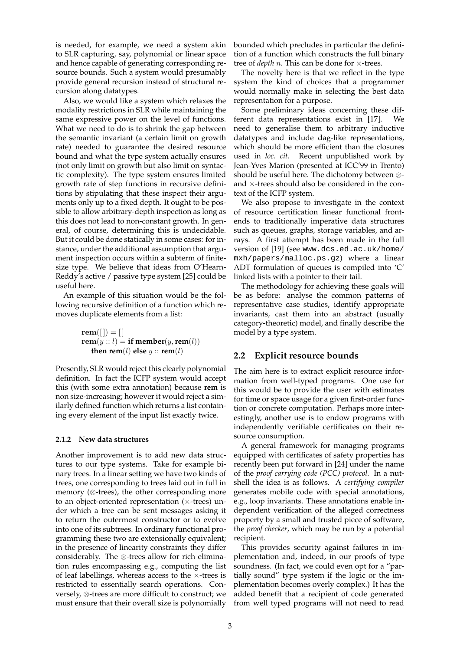is needed, for example, we need a system akin to SLR capturing, say, polynomial or linear space and hence capable of generating corresponding resource bounds. Such a system would presumably provide general recursion instead of structural recursion along datatypes.

Also, we would like a system which relaxes the modality restrictions in SLR while maintaining the same expressive power on the level of functions. What we need to do is to shrink the gap between the semantic invariant (a certain limit on growth rate) needed to guarantee the desired resource bound and what the type system actually ensures (not only limit on growth but also limit on syntactic complexity). The type system ensures limited growth rate of step functions in recursive definitions by stipulating that these inspect their arguments only up to a fixed depth. It ought to be possible to allow arbitrary-depth inspection as long as this does not lead to non-constant growth. In general, of course, determining this is undecidable. But it could be done statically in some cases: for instance, under the additional assumption that argument inspection occurs within a subterm of finitesize type. We believe that ideas from O'Hearn-Reddy's active / passive type system [25] could be useful here.

An example of this situation would be the following recursive definition of a function which removes duplicate elements from a list:

> $rem([$   $]) = []$  $\mathbf{rem}(y:: l) = \mathbf{if member}(y, \mathbf{rem}(l))$ **then rem**(*l*) **else**  $y$  :: **rem**(*l*)

Presently, SLR would reject this clearly polynomial definition. In fact the ICFP system would accept this (with some extra annotation) because **rem** is non size-increasing; however it would reject a similarly defined function which returns a list containing every element of the input list exactly twice.

#### **2.1.2 New data structures**

Another improvement is to add new data structures to our type systems. Take for example binary trees. In a linear setting we have two kinds of trees, one corresponding to trees laid out in full in memory (⊗-trees), the other corresponding more to an object-oriented representation  $(x$ -trees) under which a tree can be sent messages asking it to return the outermost constructor or to evolve into one of its subtrees. In ordinary functional programming these two are extensionally equivalent; in the presence of linearity constraints they differ considerably. The ⊗-trees allow for rich elimination rules encompassing e.g., computing the list of leaf labellings, whereas access to the  $\times$ -trees is restricted to essentially search operations. Conversely, ⊗-trees are more difficult to construct; we must ensure that their overall size is polynomially bounded which precludes in particular the definition of a function which constructs the full binary tree of *depth n*. This can be done for  $\times$ -trees.

The novelty here is that we reflect in the type system the kind of choices that a programmer would normally make in selecting the best data representation for a purpose.

Some preliminary ideas concerning these different data representations exist in [17]. We need to generalise them to arbitrary inductive datatypes and include dag-like representations, which should be more efficient than the closures used in *loc. cit.* Recent unpublished work by Jean-Yves Marion (presented at ICC'99 in Trento) should be useful here. The dichotomy between ⊗ and  $\times$ -trees should also be considered in the context of the ICFP system.

We also propose to investigate in the context of resource certification linear functional frontends to traditionally imperative data structures such as queues, graphs, storage variables, and arrays. A first attempt has been made in the full version of [19] (see www.dcs.ed.ac.uk/home/ mxh/papers/malloc.ps.gz) where a linear ADT formulation of queues is compiled into 'C' linked lists with a pointer to their tail.

The methodology for achieving these goals will be as before: analyse the common patterns of representative case studies, identify appropriate invariants, cast them into an abstract (usually category-theoretic) model, and finally describe the model by a type system.

#### **2.2 Explicit resource bounds**

The aim here is to extract explicit resource information from well-typed programs. One use for this would be to provide the user with estimates for time or space usage for a given first-order function or concrete computation. Perhaps more interestingly, another use is to endow programs with independently verifiable certificates on their resource consumption.

A general framework for managing programs equipped with certificates of safety properties has recently been put forward in [24] under the name of the *proof carrying code (PCC) protocol.* In a nutshell the idea is as follows. A *certifying compiler* generates mobile code with special annotations, e.g., loop invariants. These annotations enable independent verification of the alleged correctness property by a small and trusted piece of software, the *proof checker*, which may be run by a potential recipient.

This provides security against failures in implementation and, indeed, in our proofs of type soundness. (In fact, we could even opt for a "partially sound" type system if the logic or the implementation becomes overly complex.) It has the added benefit that a recipient of code generated from well typed programs will not need to read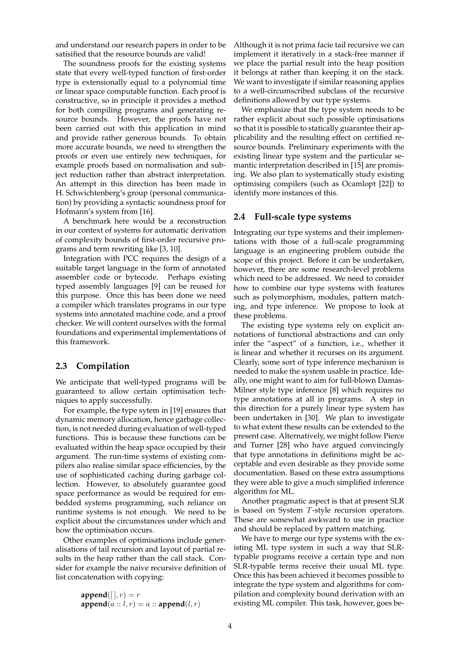and understand our research papers in order to be satisified that the resource bounds are valid!

The soundness proofs for the existing systems state that every well-typed function of first-order type is extensionally equal to a polynomial time or linear space computable function. Each proof is constructive, so in principle it provides a method for both compiling programs and generating resource bounds. However, the proofs have not been carried out with this application in mind and provide rather generous bounds. To obtain more accurate bounds, we need to strengthen the proofs or even use entirely new techniques, for example proofs based on normalisation and subject reduction rather than abstract interpretation. An attempt in this direction has been made in H. Schwichtenberg's group (personal communication) by providing a syntactic soundness proof for Hofmann's system from [16].

A benchmark here would be a reconstruction in our context of systems for automatic derivation of complexity bounds of first-order recursive programs and term rewriting like [3, 10].

Integration with PCC requires the design of a suitable target language in the form of annotated assembler code or bytecode. Perhaps existing typed assembly languages [9] can be reused for this purpose. Once this has been done we need a compiler which translates programs in our type systems into annotated machine code, and a proof checker. We will content ourselves with the formal foundations and experimental implementations of this framework.

### **2.3 Compilation**

We anticipate that well-typed programs will be guaranteed to allow certain optimisation techniques to apply successfully.

For example, the type sytem in [19] ensures that dynamic memory allocation, hence garbage collection, is not needed during evaluation of well-typed functions. This is because these functions can be evaluated within the heap space occupied by their argument. The run-time systems of existing compilers also realise similar space efficiencies, by the use of sophisticated caching during garbage collection. However, to absolutely guarantee good space performance as would be required for embedded systems programming, such reliance on runtime systems is not enough. We need to be explicit about the circumstances under which and how the optimisation occurs.

Other examples of optimisations include generalisations of tail recursion and layout of partial results in the heap rather than the call stack. Consider for example the naive recursive definition of list concatenation with copying:

> $$  $\textbf{append}(a:: l, r) = a:: \textbf{append}(l, r)$

Although it is not prima facie tail recursive we can implement it iteratively in a stack-free manner if we place the partial result into the heap position it belongs at rather than keeping it on the stack. We want to investigate if similar reasoning applies to a well-circumscribed subclass of the recursive definitions allowed by our type systems.

We emphasize that the type system needs to be rather explicit about such possible optimisations so that it is possible to statically guarantee their applicability and the resulting effect on certified resource bounds. Preliminary experiments with the existing linear type system and the particular semantic interpretation described in [15] are promising. We also plan to systematically study existing optimising compilers (such as Ocamlopt [22]) to identify more instances of this.

#### **2.4 Full-scale type systems**

Integrating our type systems and their implementations with those of a full-scale programming language is an engineering problem outside the scope of this project. Before it can be undertaken, however, there are some research-level problems which need to be addressed. We need to consider how to combine our type systems with features such as polymorphism, modules, pattern matching, and type inference. We propose to look at these problems.

The existing type systems rely on explicit annotations of functional abstractions and can only infer the "aspect" of a function, i.e., whether it is linear and whether it recurses on its argument. Clearly, some sort of type inference mechanism is needed to make the system usable in practice. Ideally, one might want to aim for full-blown Damas-Milner style type inference [8] which requires no type annotations at all in programs. A step in this direction for a purely linear type system has been undertaken in [30]. We plan to investigate to what extent these results can be extended to the present case. Alternatively, we might follow Pierce and Turner [28] who have argued convincingly that type annotations in definitions might be acceptable and even desirable as they provide some documentation. Based on these extra assumptions they were able to give a much simplified inference algorithm for ML.

Another pragmatic aspect is that at present SLR is based on System T-style recursion operators. These are somewhat awkward to use in practice and should be replaced by pattern matching.

We have to merge our type systems with the existing ML type system in such a way that SLRtypable programs receive a certain type and non SLR-typable terms receive their usual ML type. Once this has been achieved it becomes possible to integrate the type system and algorithms for compilation and complexity bound derivation with an existing ML compiler. This task, however, goes be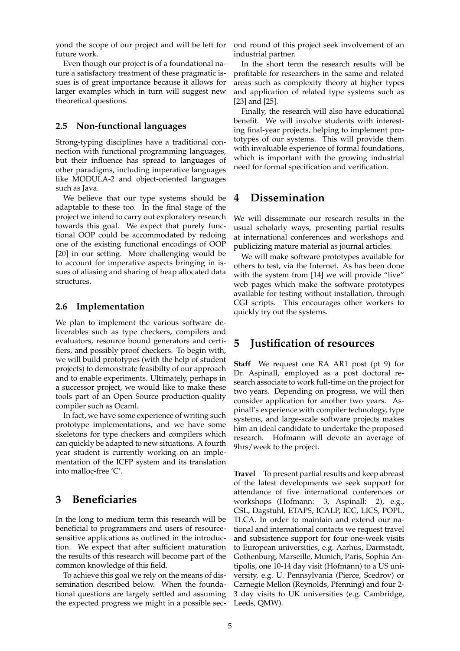yond the scope of our project and will be left for future work.

Even though our project is of a foundational nature a satisfactory treatment of these pragmatic issues is of great importance because it allows for larger examples which in turn will suggest new theoretical questions.

### **2.5 Non-functional languages**

Strong-typing disciplines have a traditional connection with functional programming languages, but their influence has spread to languages of other paradigms, including imperative languages like MODULA-2 and object-oriented languages such as Java.

We believe that our type systems should be adaptable to these too. In the final stage of the project we intend to carry out exploratory research towards this goal. We expect that purely functional OOP could be accommodated by redoing one of the existing functional encodings of OOP [20] in our setting. More challenging would be to account for imperative aspects bringing in issues of aliasing and sharing of heap allocated data structures.

### **2.6 Implementation**

We plan to implement the various software deliverables such as type checkers, compilers and evaluators, resource bound generators and certifiers, and possibly proof checkers. To begin with, we will build prototypes (with the help of student projects) to demonstrate feasibilty of our approach and to enable experiments. Ultimately, perhaps in a successor project, we would like to make these tools part of an Open Source production-quality compiler such as Ocaml.

In fact, we have some experience of writing such prototype implementations, and we have some skeletons for type checkers and compilers which can quickly be adapted to new situations. A fourth year student is currently working on an implementation of the ICFP system and its translation into malloc-free 'C'.

## **3 Beneficiaries**

In the long to medium term this research will be beneficial to programmers and users of resourcesensitive applications as outlined in the introduction. We expect that after sufficient maturation the results of this research will become part of the common knowledge of this field.

To achieve this goal we rely on the means of dissemination described below. When the foundational questions are largely settled and assuming the expected progress we might in a possible sec-

ond round of this project seek involvement of an industrial partner.

In the short term the research results will be profitable for researchers in the same and related areas such as complexity theory at higher types and application of related type systems such as [23] and [25].

Finally, the research will also have educational benefit. We will involve students with interesting final-year projects, helping to implement prototypes of our systems. This will provide them with invaluable experience of formal foundations, which is important with the growing industrial need for formal specification and verification.

## **4 Dissemination**

We will disseminate our research results in the usual scholarly ways, presenting partial results at international conferences and workshops and publicizing mature material as journal articles.

We will make software prototypes available for others to test, via the Internet. As has been done with the system from [14] we will provide "live" web pages which make the software prototypes available for testing without installation, through CGI scripts. This encourages other workers to quickly try out the systems.

## **5 Justification of resources**

**Staff** We request one RA AR1 post (pt 9) for Dr. Aspinall, employed as a post doctoral research associate to work full-time on the project for two years. Depending on progress, we will then consider application for another two years. Aspinall's experience with compiler technology, type systems, and large-scale software projects makes him an ideal candidate to undertake the proposed research. Hofmann will devote an average of 9hrs/week to the project.

**Travel** To present partial results and keep abreast of the latest developments we seek support for attendance of five international conferences or workshops (Hofmann: 3, Aspinall: 2), e.g., CSL, Dagstuhl, ETAPS, ICALP, ICC, LICS, POPL, TLCA. In order to maintain and extend our national and international contacts we request travel and subsistence support for four one-week visits to European universities, e.g. Aarhus, Darmstadt, Gothenburg, Marseille, Munich, Paris, Sophia Antipolis, one 10-14 day visit (Hofmann) to a US university, e.g. U. Pennsylvania (Pierce, Scedrov) or Carnegie Mellon (Reynolds, Pfenning) and four 2- 3 day visits to UK universities (e.g. Cambridge, Leeds, QMW).